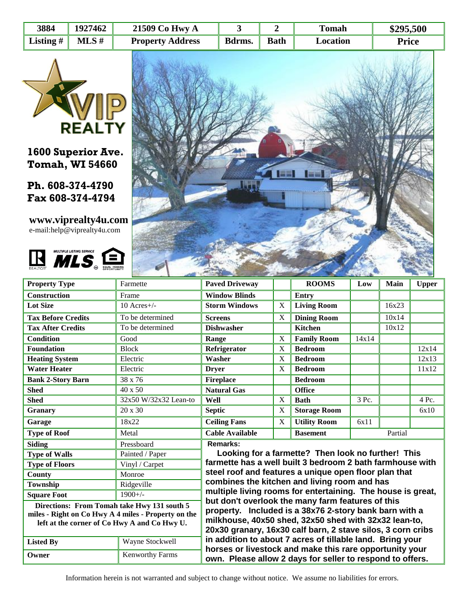| 3884        | 1927462 | 21509 Co Hwy A          |        |             | <b>Tomah</b> | \$295,500    |
|-------------|---------|-------------------------|--------|-------------|--------------|--------------|
| Listing $#$ | MLS#    | <b>Property Address</b> | Bdrms. | <b>Bath</b> | Location     | <b>Price</b> |



**1600 Superior Ave. Tomah, WI 54660**

**Ph. 608-374-4790 Fax 608-374-4794**

**www.viprealty4u.com** e-mail:help@viprealty4u.com





| <b>Property Type</b>                                                                                                                               | Farmette                                                                                                                                                                                                                            | <b>Paved Driveway</b>                                                                                                |             | <b>ROOMS</b>               | Low   | <b>Main</b> | <b>Upper</b> |  |  |  |
|----------------------------------------------------------------------------------------------------------------------------------------------------|-------------------------------------------------------------------------------------------------------------------------------------------------------------------------------------------------------------------------------------|----------------------------------------------------------------------------------------------------------------------|-------------|----------------------------|-------|-------------|--------------|--|--|--|
| <b>Construction</b>                                                                                                                                | Frame                                                                                                                                                                                                                               | <b>Window Blinds</b>                                                                                                 |             | <b>Entry</b>               |       |             |              |  |  |  |
| <b>Lot Size</b>                                                                                                                                    | $10$ Acres+/-                                                                                                                                                                                                                       | <b>Storm Windows</b>                                                                                                 | X           | <b>Living Room</b>         |       | 16x23       |              |  |  |  |
| <b>Tax Before Credits</b>                                                                                                                          | To be determined                                                                                                                                                                                                                    | <b>Screens</b>                                                                                                       | X           | <b>Dining Room</b>         |       | 10x14       |              |  |  |  |
| <b>Tax After Credits</b>                                                                                                                           | To be determined                                                                                                                                                                                                                    | <b>Dishwasher</b>                                                                                                    |             | <b>Kitchen</b>             |       | 10x12       |              |  |  |  |
| <b>Condition</b>                                                                                                                                   | Good                                                                                                                                                                                                                                | Range                                                                                                                | $\mathbf X$ | <b>Family Room</b>         | 14x14 |             |              |  |  |  |
| <b>Foundation</b>                                                                                                                                  | <b>Block</b>                                                                                                                                                                                                                        | Refrigerator                                                                                                         | X           | <b>Bedroom</b>             |       |             | 12x14        |  |  |  |
| <b>Heating System</b>                                                                                                                              | Electric                                                                                                                                                                                                                            | Washer                                                                                                               | $\mathbf X$ | <b>Bedroom</b>             |       |             | 12x13        |  |  |  |
| <b>Water Heater</b>                                                                                                                                | Electric                                                                                                                                                                                                                            | <b>Dryer</b>                                                                                                         | X           | <b>Bedroom</b>             |       |             | 11x12        |  |  |  |
| <b>Bank 2-Story Barn</b>                                                                                                                           | 38 x 76                                                                                                                                                                                                                             | <b>Fireplace</b>                                                                                                     |             | <b>Bedroom</b>             |       |             |              |  |  |  |
| <b>Shed</b>                                                                                                                                        | 40 x 50                                                                                                                                                                                                                             | <b>Natural Gas</b>                                                                                                   |             | <b>Office</b>              |       |             |              |  |  |  |
| <b>Shed</b>                                                                                                                                        | 32x50 W/32x32 Lean-to                                                                                                                                                                                                               | Well                                                                                                                 | X           | <b>Bath</b>                | 3 Pc. |             | 4 Pc.        |  |  |  |
| <b>Granary</b>                                                                                                                                     | 20 x 30                                                                                                                                                                                                                             | <b>Septic</b>                                                                                                        | X           | <b>Storage Room</b>        |       |             | 6x10         |  |  |  |
| Garage                                                                                                                                             | 18x22                                                                                                                                                                                                                               | <b>Ceiling Fans</b>                                                                                                  | X           | <b>Utility Room</b>        | 6x11  |             |              |  |  |  |
| Metal<br><b>Type of Roof</b>                                                                                                                       |                                                                                                                                                                                                                                     | <b>Cable Available</b>                                                                                               |             | Partial<br><b>Basement</b> |       |             |              |  |  |  |
| <b>Siding</b><br>Pressboard                                                                                                                        |                                                                                                                                                                                                                                     | Remarks:                                                                                                             |             |                            |       |             |              |  |  |  |
| <b>Type of Walls</b><br>Painted / Paper                                                                                                            |                                                                                                                                                                                                                                     | Looking for a farmette? Then look no further! This                                                                   |             |                            |       |             |              |  |  |  |
| <b>Type of Floors</b>                                                                                                                              | Vinyl / Carpet                                                                                                                                                                                                                      | farmette has a well built 3 bedroom 2 bath farmhouse with                                                            |             |                            |       |             |              |  |  |  |
| County                                                                                                                                             | Monroe                                                                                                                                                                                                                              | steel roof and features a unique open floor plan that                                                                |             |                            |       |             |              |  |  |  |
| Township                                                                                                                                           | Ridgeville                                                                                                                                                                                                                          | combines the kitchen and living room and has                                                                         |             |                            |       |             |              |  |  |  |
| <b>Square Foot</b>                                                                                                                                 | $1900 +/-$                                                                                                                                                                                                                          | multiple living rooms for entertaining. The house is great,                                                          |             |                            |       |             |              |  |  |  |
| Directions: From Tomah take Hwy 131 south 5<br>miles - Right on Co Hwy A 4 miles - Property on the<br>left at the corner of Co Hwy A and Co Hwy U. | but don't overlook the many farm features of this<br>property. Included is a 38x76 2-story bank barn with a<br>milkhouse, 40x50 shed, 32x50 shed with 32x32 lean-to,<br>20x30 granary, 16x30 calf barn, 2 stave silos, 3 corn cribs |                                                                                                                      |             |                            |       |             |              |  |  |  |
| <b>Listed By</b>                                                                                                                                   | Wayne Stockwell                                                                                                                                                                                                                     | in addition to about 7 acres of tillable land. Bring your                                                            |             |                            |       |             |              |  |  |  |
| Owner                                                                                                                                              | Kenworthy Farms                                                                                                                                                                                                                     | horses or livestock and make this rare opportunity your<br>own. Please allow 2 days for seller to respond to offers. |             |                            |       |             |              |  |  |  |

Information herein is not warranted and subject to change without notice. We assume no liabilities for errors.